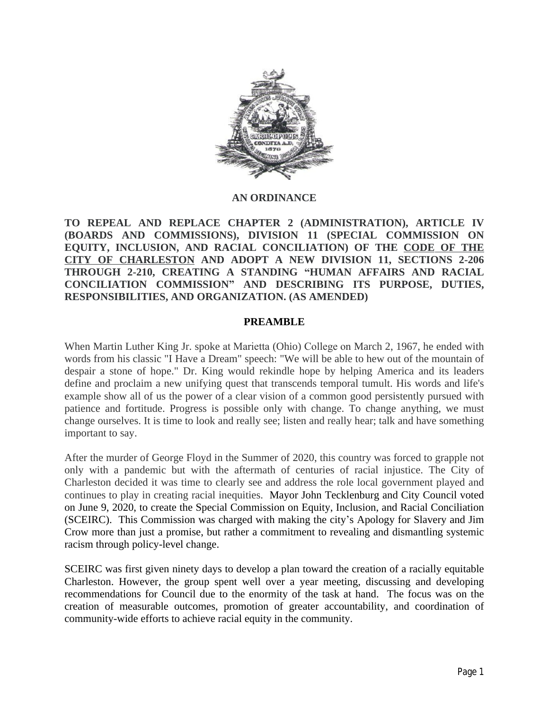

#### **AN ORDINANCE**

**TO REPEAL AND REPLACE CHAPTER 2 (ADMINISTRATION), ARTICLE IV (BOARDS AND COMMISSIONS), DIVISION 11 (SPECIAL COMMISSION ON EQUITY, INCLUSION, AND RACIAL CONCILIATION) OF THE CODE OF THE CITY OF CHARLESTON AND ADOPT A NEW DIVISION 11, SECTIONS 2-206 THROUGH 2-210, CREATING A STANDING "HUMAN AFFAIRS AND RACIAL CONCILIATION COMMISSION" AND DESCRIBING ITS PURPOSE, DUTIES, RESPONSIBILITIES, AND ORGANIZATION. (AS AMENDED)**

#### **PREAMBLE**

When Martin Luther King Jr. spoke at Marietta (Ohio) College on March 2, 1967, he ended with words from his classic "I Have a Dream" speech: "We will be able to hew out of the mountain of despair a stone of hope." Dr. King would rekindle hope by helping America and its leaders define and proclaim a new unifying quest that transcends temporal tumult. His words and life's example show all of us the power of a clear vision of a common good persistently pursued with patience and fortitude. Progress is possible only with change. To change anything, we must change ourselves. It is time to look and really see; listen and really hear; talk and have something important to say.

After the murder of George Floyd in the Summer of 2020, this country was forced to grapple not only with a pandemic but with the aftermath of centuries of racial injustice. The City of Charleston decided it was time to clearly see and address the role local government played and continues to play in creating racial inequities. Mayor John Tecklenburg and City Council voted on June 9, 2020, to create the Special Commission on Equity, Inclusion, and Racial Conciliation (SCEIRC). This Commission was charged with making the city's Apology for Slavery and Jim Crow more than just a promise, but rather a commitment to revealing and dismantling systemic racism through policy-level change.

SCEIRC was first given ninety days to develop a plan toward the creation of a racially equitable Charleston. However, the group spent well over a year meeting, discussing and developing recommendations for Council due to the enormity of the task at hand. The focus was on the creation of measurable outcomes, promotion of greater accountability, and coordination of community-wide efforts to achieve racial equity in the community.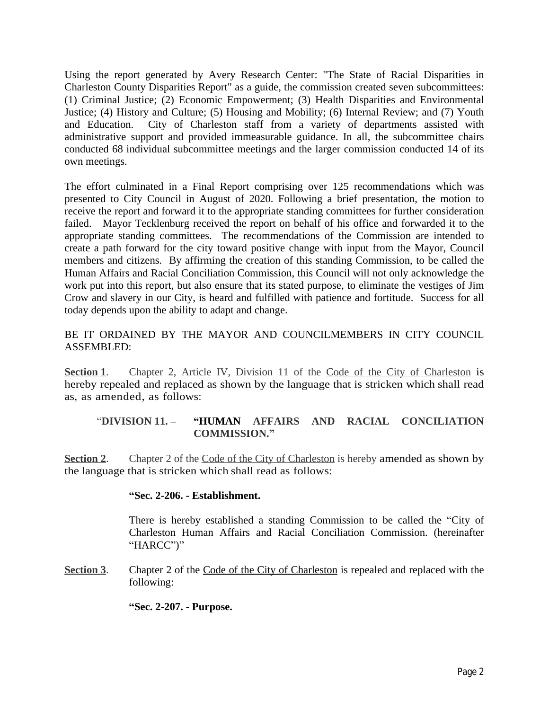Using the report generated by Avery Research Center: "The State of Racial Disparities in Charleston County Disparities Report" as a guide, the commission created seven subcommittees: (1) Criminal Justice; (2) Economic Empowerment; (3) Health Disparities and Environmental Justice; (4) History and Culture; (5) Housing and Mobility; (6) Internal Review; and (7) Youth and Education. City of Charleston staff from a variety of departments assisted with administrative support and provided immeasurable guidance. In all, the subcommittee chairs conducted 68 individual subcommittee meetings and the larger commission conducted 14 of its own meetings.

The effort culminated in a Final Report comprising over 125 recommendations which was presented to City Council in August of 2020. Following a brief presentation, the motion to receive the report and forward it to the appropriate standing committees for further consideration failed. Mayor Tecklenburg received the report on behalf of his office and forwarded it to the appropriate standing committees. The recommendations of the Commission are intended to create a path forward for the city toward positive change with input from the Mayor, Council members and citizens. By affirming the creation of this standing Commission, to be called the Human Affairs and Racial Conciliation Commission, this Council will not only acknowledge the work put into this report, but also ensure that its stated purpose, to eliminate the vestiges of Jim Crow and slavery in our City, is heard and fulfilled with patience and fortitude. Success for all today depends upon the ability to adapt and change.

# BE IT ORDAINED BY THE MAYOR AND COUNCILMEMBERS IN CITY COUNCIL ASSEMBLED:

**Section 1**. Chapter 2, Article IV, Division 11 of the Code of the City of Charleston is hereby repealed and replaced as shown by the language that is stricken which shall read as, as amended, as follows:

## "**DIVISION 11. – "HUMAN AFFAIRS AND RACIAL CONCILIATION COMMISSION."**

**<u>Section 2</u>**. Chapter 2 of the Code of the City of Charleston is hereby amended as shown by the language that is stricken which shall read as follows:

### **"Sec. 2-206. - Establishment.**

There is hereby established a standing Commission to be called the "City of Charleston Human Affairs and Racial Conciliation Commission. (hereinafter "HARCC")"

**Section 3.** Chapter 2 of the Code of the City of Charleston is repealed and replaced with the following:

**"Sec. 2-207. - Purpose.**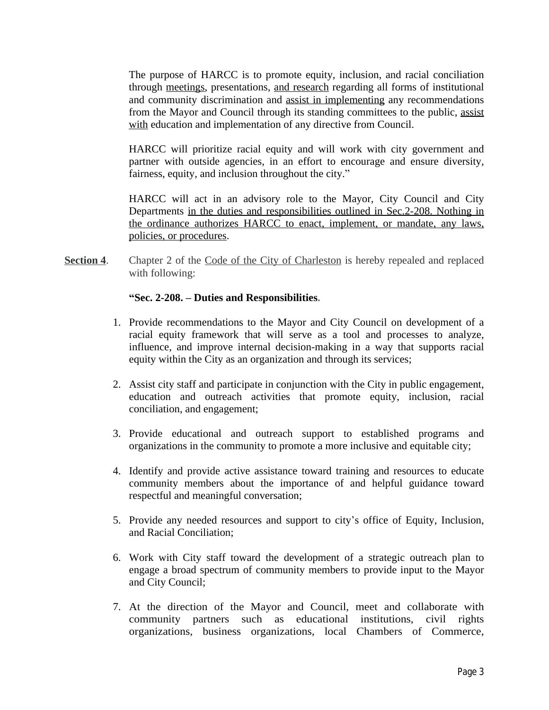The purpose of HARCC is to promote equity, inclusion, and racial conciliation through meetings, presentations, and research regarding all forms of institutional and community discrimination and assist in implementing any recommendations from the Mayor and Council through its standing committees to the public, assist with education and implementation of any directive from Council.

HARCC will prioritize racial equity and will work with city government and partner with outside agencies, in an effort to encourage and ensure diversity, fairness, equity, and inclusion throughout the city."

HARCC will act in an advisory role to the Mayor, City Council and City Departments <u>in the duties and responsibilities outlined in Sec.2-208.</u> Nothing in the ordinance authorizes HARCC to enact, implement, or mandate, any laws, policies, or procedures.

**Section 4.** Chapter 2 of the Code of the City of Charleston is hereby repealed and replaced with following:

### **"Sec. 2-208. – Duties and Responsibilities.**

- 1. Provide recommendations to the Mayor and City Council on development of a racial equity framework that will serve as a tool and processes to analyze, influence, and improve internal decision-making in a way that supports racial equity within the City as an organization and through its services;
- 2. Assist city staff and participate in conjunction with the City in public engagement, education and outreach activities that promote equity, inclusion, racial conciliation, and engagement;
- 3. Provide educational and outreach support to established programs and organizations in the community to promote a more inclusive and equitable city;
- 4. Identify and provide active assistance toward training and resources to educate community members about the importance of and helpful guidance toward respectful and meaningful conversation;
- 5. Provide any needed resources and support to city's office of Equity, Inclusion, and Racial Conciliation;
- 6. Work with City staff toward the development of a strategic outreach plan to engage a broad spectrum of community members to provide input to the Mayor and City Council;
- 7. At the direction of the Mayor and Council, meet and collaborate with community partners such as educational institutions, civil rights organizations, business organizations, local Chambers of Commerce,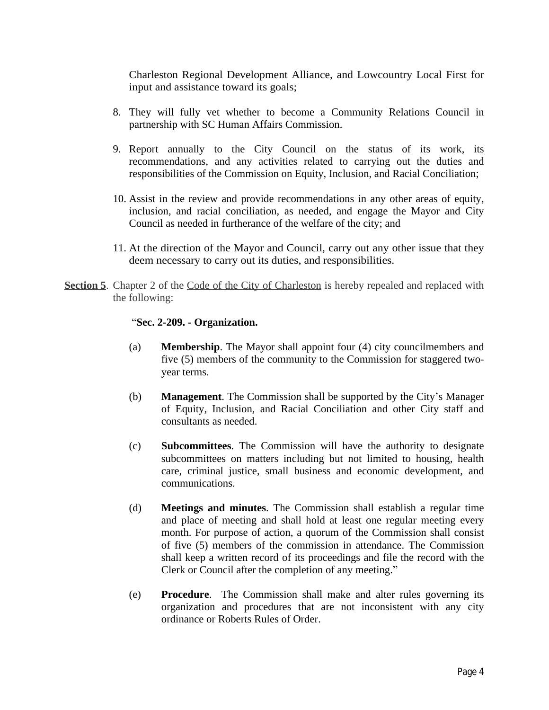Charleston Regional Development Alliance, and Lowcountry Local First for input and assistance toward its goals;

- 8. They will fully vet whether to become a Community Relations Council in partnership with SC Human Affairs Commission.
- 9. Report annually to the City Council on the status of its work, its recommendations, and any activities related to carrying out the duties and responsibilities of the Commission on Equity, Inclusion, and Racial Conciliation;
- 10. Assist in the review and provide recommendations in any other areas of equity, inclusion, and racial conciliation, as needed, and engage the Mayor and City Council as needed in furtherance of the welfare of the city; and
- 11. At the direction of the Mayor and Council, carry out any other issue that they deem necessary to carry out its duties, and responsibilities.
- **Section 5**. Chapter 2 of the Code of the City of Charleston is hereby repealed and replaced with the following:

### "**Sec. 2-209. - Organization.**

- (a) **Membership**. The Mayor shall appoint four (4) city councilmembers and five (5) members of the community to the Commission for staggered twoyear terms.
- (b) **Management**. The Commission shall be supported by the City's Manager of Equity, Inclusion, and Racial Conciliation and other City staff and consultants as needed.
- (c) **Subcommittees**. The Commission will have the authority to designate subcommittees on matters including but not limited to housing, health care, criminal justice, small business and economic development, and communications.
- (d) **Meetings and minutes**. The Commission shall establish a regular time and place of meeting and shall hold at least one regular meeting every month. For purpose of action, a quorum of the Commission shall consist of five (5) members of the commission in attendance. The Commission shall keep a written record of its proceedings and file the record with the Clerk or Council after the completion of any meeting."
- (e) **Procedure**. The Commission shall make and alter rules governing its organization and procedures that are not inconsistent with any city ordinance or Roberts Rules of Order.